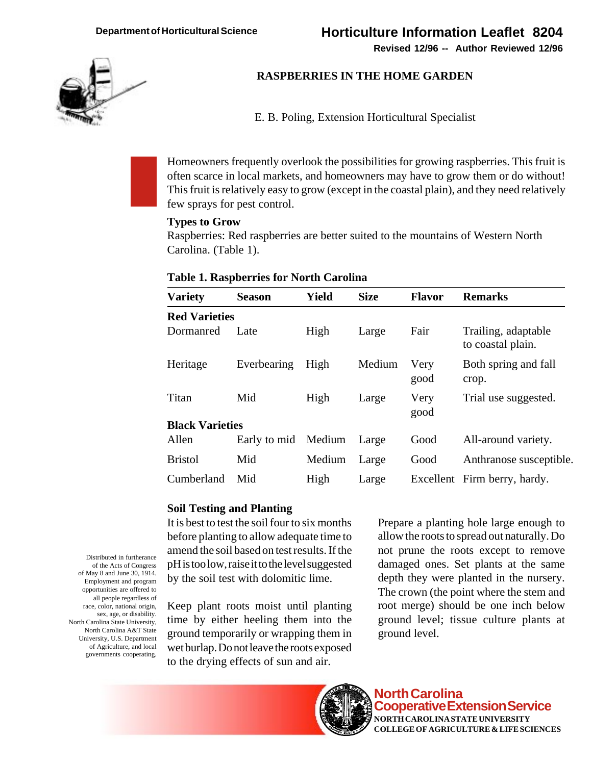**Revised 12/96 -- Author Reviewed 12/96**



# **RASPBERRIES IN THE HOME GARDEN**

E. B. Poling, Extension Horticultural Specialist

Homeowners frequently overlook the possibilities for growing raspberries. This fruit is often scarce in local markets, and homeowners may have to grow them or do without! This fruit is relatively easy to grow (except in the coastal plain), and they need relatively few sprays for pest control.

### **Types to Grow**

Raspberries: Red raspberries are better suited to the mountains of Western North Carolina. (Table 1).

#### **Table 1. Raspberries for North Carolina**

| <b>Variety</b>         | <b>Season</b> | Yield  | <b>Size</b> | <b>Flavor</b> | <b>Remarks</b>                           |
|------------------------|---------------|--------|-------------|---------------|------------------------------------------|
| <b>Red Varieties</b>   |               |        |             |               |                                          |
| Dormanred              | Late          | High   | Large       | Fair          | Trailing, adaptable<br>to coastal plain. |
| Heritage               | Everbearing   | High   | Medium      | Very<br>good  | Both spring and fall<br>crop.            |
| Titan                  | Mid           | High   | Large       | Very<br>good  | Trial use suggested.                     |
| <b>Black Varieties</b> |               |        |             |               |                                          |
| Allen                  | Early to mid  | Medium | Large       | Good          | All-around variety.                      |
| <b>Bristol</b>         | Mid           | Medium | Large       | Good          | Anthranose susceptible.                  |
| Cumberland             | Mid           | High   | Large       |               | Excellent Firm berry, hardy.             |

## **Soil Testing and Planting**

It is best to test the soil four to six months before planting to allow adequate time to amend the soil based on test results. If the pH is too low, raise it to the level suggested by the soil test with dolomitic lime.

Keep plant roots moist until planting time by either heeling them into the ground temporarily or wrapping them in wet burlap. Do not leave the roots exposed to the drying effects of sun and air.

Prepare a planting hole large enough to allow the roots to spread out naturally. Do not prune the roots except to remove damaged ones. Set plants at the same depth they were planted in the nursery. The crown (the point where the stem and root merge) should be one inch below ground level; tissue culture plants at ground level.



**North Carolina Cooperative Extension Service NORTH CAROLINA STATE UNIVERSITY COLLEGE OF AGRICULTURE & LIFE SCIENCES**

Distributed in furtherance of the Acts of Congress of May 8 and June 30, 1914. Employment and program opportunities are offered to all people regardless of race, color, national origin, sex, age, or disability. North Carolina State University, North Carolina A&T State University, U.S. Department of Agriculture, and local governments cooperating.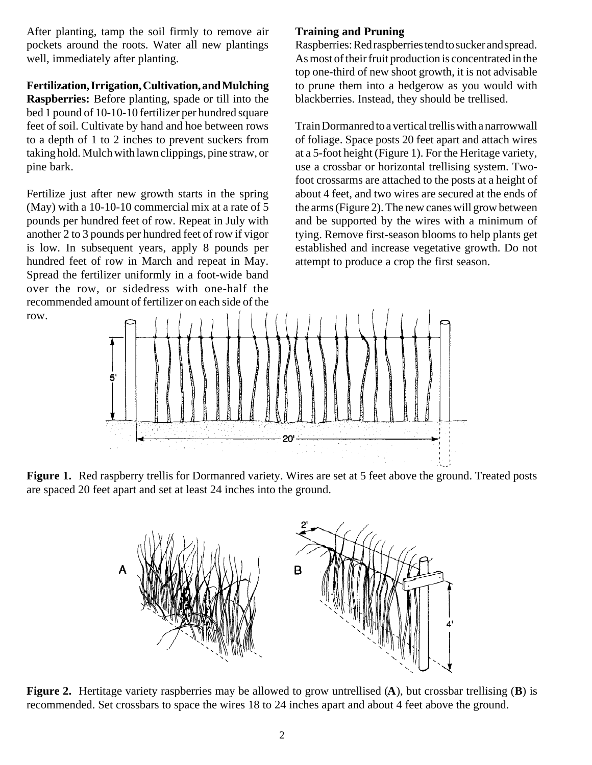After planting, tamp the soil firmly to remove air pockets around the roots. Water all new plantings well, immediately after planting.

### **Fertilization, Irrigation, Cultivation, and Mulching**

**Raspberries:** Before planting, spade or till into the bed 1 pound of 10-10-10 fertilizer per hundred square feet of soil. Cultivate by hand and hoe between rows to a depth of 1 to 2 inches to prevent suckers from taking hold. Mulch with lawn clippings, pine straw, or pine bark.

Fertilize just after new growth starts in the spring (May) with a 10-10-10 commercial mix at a rate of 5 pounds per hundred feet of row. Repeat in July with another 2 to 3 pounds per hundred feet of row if vigor is low. In subsequent years, apply 8 pounds per hundred feet of row in March and repeat in May. Spread the fertilizer uniformly in a foot-wide band over the row, or sidedress with one-half the recommended amount of fertilizer on each side of the row.

## **Training and Pruning**

Raspberries: Red raspberries tend to sucker and spread. As most of their fruit production is concentrated in the top one-third of new shoot growth, it is not advisable to prune them into a hedgerow as you would with blackberries. Instead, they should be trellised.

Train Dormanred to a vertical trellis with a narrowwall of foliage. Space posts 20 feet apart and attach wires at a 5-foot height (Figure 1). For the Heritage variety, use a crossbar or horizontal trellising system. Twofoot crossarms are attached to the posts at a height of about 4 feet, and two wires are secured at the ends of the arms (Figure 2). The new canes will grow between and be supported by the wires with a minimum of tying. Remove first-season blooms to help plants get established and increase vegetative growth. Do not attempt to produce a crop the first season.



Figure 1. Red raspberry trellis for Dormanred variety. Wires are set at 5 feet above the ground. Treated posts are spaced 20 feet apart and set at least 24 inches into the ground.



**Figure 2.** Hertitage variety raspberries may be allowed to grow untrellised (**A**), but crossbar trellising (**B**) is recommended. Set crossbars to space the wires 18 to 24 inches apart and about 4 feet above the ground.